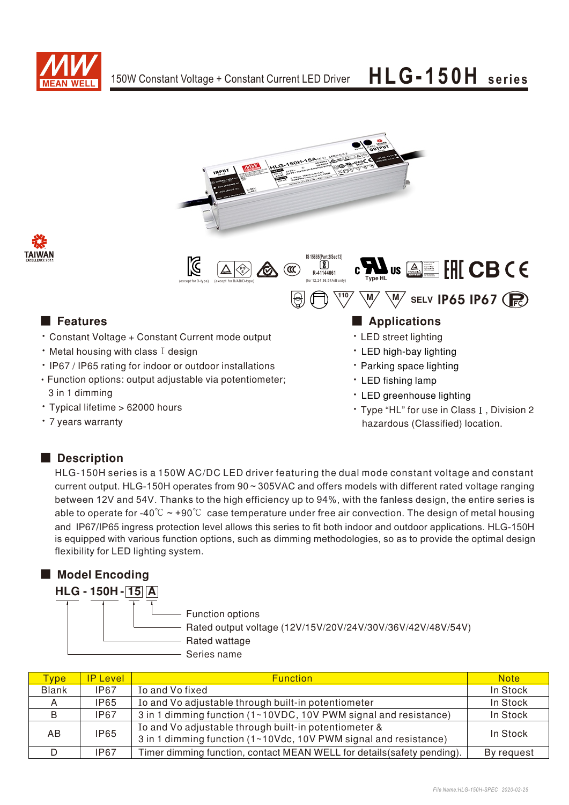





- Constant Voltage + Constant Current mode output
- $\cdot$  Metal housing with class I design
- IP67 / IP65 rating for indoor or outdoor installations • Function options: output adjustable via potentiometer;
- 3 in 1 dimming • Typical lifetime > 62000 hours
- 7 years warranty
- LED fishing lamp
- LED greenhouse lighting
- Type "HL" for use in Class I, Division 2 hazardous (Classified) location.

## Description

HLG-150H series is a 150W AC/DC LED driver featuring the dual mode constant voltage and constant current output. HLG-150H operates from 90 ~ 305VAC and offers models with different rated voltage ranging between 12V and 54V. Thanks to the high efficiency up to 94%, with the fanless design, the entire series is able to operate for -40°C  $\sim$  +90°C case temperature under free air convection. The design of metal housing and IP67/IP65 ingress protection level allows this series to fit both indoor and outdoor applications. HLG-150H is equipped with various function options, such as dimming methodologies, so as to provide the optimal design flexibility for LED lighting system.

## ■ Model Encoding



| Type <b>b</b> | <b>IP Level</b> | <b>Function</b>                                                                                                           | <b>Note</b> |
|---------------|-----------------|---------------------------------------------------------------------------------------------------------------------------|-------------|
| <b>Blank</b>  | IP67            | Io and Vo fixed                                                                                                           | In Stock    |
| A             | <b>IP65</b>     | Io and Vo adjustable through built-in potentiometer                                                                       | In Stock    |
| B             | <b>IP67</b>     | 3 in 1 dimming function (1~10VDC, 10V PWM signal and resistance)                                                          | In Stock    |
| AB            | <b>IP65</b>     | Io and Vo adjustable through built-in potentiometer &<br>3 in 1 dimming function (1~10Vdc, 10V PWM signal and resistance) | In Stock    |
|               | IP67            | Timer dimming function, contact MEAN WELL for details (safety pending).                                                   | By request  |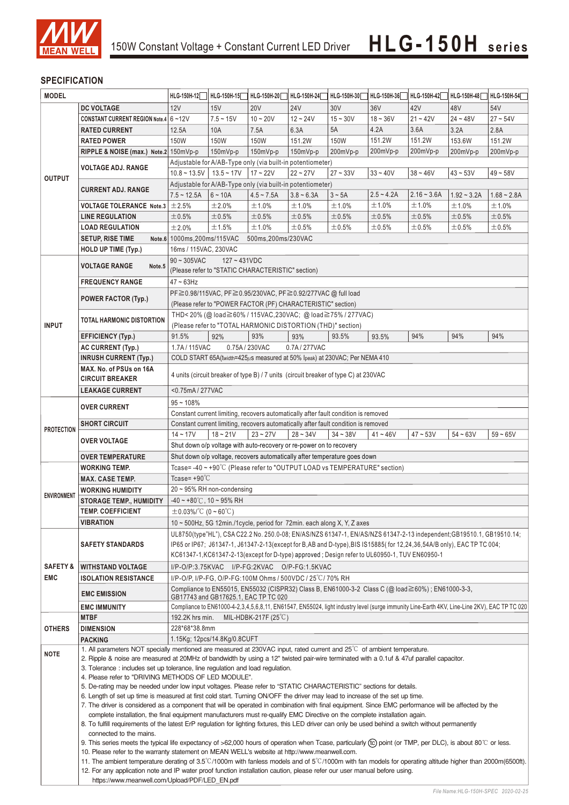

### **SPECIFICATION**

| <b>MODEL</b>        |                                                                                                                                                                                                                                                                                   | HLG-150H-12                                                                                                                                                                                                                                        | HLG-150H-15                                                                                                                                                  | HLG-150H-20    | HLG-150H-24                                                 | HLG-150H-30 | HLG-150H-36  | HLG-150H-42   | HLG-150H-48   | HLG-150H-54   |  |  |
|---------------------|-----------------------------------------------------------------------------------------------------------------------------------------------------------------------------------------------------------------------------------------------------------------------------------|----------------------------------------------------------------------------------------------------------------------------------------------------------------------------------------------------------------------------------------------------|--------------------------------------------------------------------------------------------------------------------------------------------------------------|----------------|-------------------------------------------------------------|-------------|--------------|---------------|---------------|---------------|--|--|
|                     | <b>DC VOLTAGE</b>                                                                                                                                                                                                                                                                 | 12V                                                                                                                                                                                                                                                | 15V                                                                                                                                                          | <b>20V</b>     | <b>24V</b>                                                  | 30V         | 36V          | 42V           | 48V           | 54V           |  |  |
|                     | CONSTANT CURRENT REGION Note.4 6~12V                                                                                                                                                                                                                                              |                                                                                                                                                                                                                                                    | $7.5 - 15V$                                                                                                                                                  | $10 - 20V$     | $12 - 24V$                                                  | $15 - 30V$  | $18 - 36V$   | $21 - 42V$    | $24 - 48V$    | $27 - 54V$    |  |  |
|                     | <b>RATED CURRENT</b>                                                                                                                                                                                                                                                              | 12.5A                                                                                                                                                                                                                                              | 10A                                                                                                                                                          | 7.5A           | 6.3A                                                        | 5A          | 4.2A         | 3.6A          | 3.2A          | 2.8A          |  |  |
|                     | <b>RATED POWER</b>                                                                                                                                                                                                                                                                | 150W                                                                                                                                                                                                                                               | 150W                                                                                                                                                         | 150W           | 151.2W                                                      | 150W        | 151.2W       | 151.2W        | 153.6W        | 151.2W        |  |  |
|                     | RIPPLE & NOISE (max.) Note.2 150mVp-p                                                                                                                                                                                                                                             |                                                                                                                                                                                                                                                    | 150mVp-p                                                                                                                                                     | 150mVp-p       | 150mVp-p                                                    |             |              |               |               | 200mVp-p      |  |  |
|                     |                                                                                                                                                                                                                                                                                   |                                                                                                                                                                                                                                                    |                                                                                                                                                              |                |                                                             | 200mVp-p    | 200mVp-p     | 200mVp-p      | 200mVp-p      |               |  |  |
|                     | <b>VOLTAGE ADJ. RANGE</b>                                                                                                                                                                                                                                                         | Adjustable for A/AB-Type only (via built-in potentiometer)                                                                                                                                                                                         |                                                                                                                                                              |                |                                                             |             |              |               |               |               |  |  |
| <b>OUTPUT</b>       |                                                                                                                                                                                                                                                                                   | $17 - 22V$<br>$33 - 40V$<br>$38 - 46V$<br>$10.8 \sim 13.5V$   13.5 ~ 17V<br>$22 - 27V$<br>$27 - 33V$<br>$43 - 53V$<br>$49 - 58V$                                                                                                                   |                                                                                                                                                              |                |                                                             |             |              |               |               |               |  |  |
|                     | <b>CURRENT ADJ. RANGE</b>                                                                                                                                                                                                                                                         | Adjustable for A/AB-Type only (via built-in potentiometer)                                                                                                                                                                                         |                                                                                                                                                              |                |                                                             |             |              |               |               |               |  |  |
|                     |                                                                                                                                                                                                                                                                                   | $7.5 - 12.5A$                                                                                                                                                                                                                                      | $6 - 10A$                                                                                                                                                    | $4.5 - 7.5A$   | $3.8 - 6.3A$                                                | $3~$ ~ 5A   | $2.5 - 4.2A$ | $2.16 - 3.6A$ | $1.92 - 3.2A$ | $1.68 - 2.8A$ |  |  |
|                     | <b>VOLTAGE TOLERANCE Note.3</b> $\pm$ 2.5%                                                                                                                                                                                                                                        |                                                                                                                                                                                                                                                    | ±2.0%                                                                                                                                                        | ±1.0%          | ±1.0%                                                       | ±1.0%       | ±1.0%        | ±1.0%         | ±1.0%         | ±1.0%         |  |  |
|                     | <b>LINE REGULATION</b>                                                                                                                                                                                                                                                            | $\pm 0.5\%$                                                                                                                                                                                                                                        | ±0.5%                                                                                                                                                        | ±0.5%          | ±0.5%                                                       | ±0.5%       | ±0.5%        | ±0.5%         | ±0.5%         | ±0.5%         |  |  |
|                     | <b>LOAD REGULATION</b>                                                                                                                                                                                                                                                            | ±2.0%                                                                                                                                                                                                                                              | ±1.5%                                                                                                                                                        | ±1.0%          | ±0.5%                                                       | ±0.5%       | ±0.5%        | ±0.5%         | $\pm 0.5\%$   | ±0.5%         |  |  |
|                     | <b>SETUP, RISE TIME</b>                                                                                                                                                                                                                                                           | Note.6 1000ms, 200ms/115VAC<br>500ms, 200ms/230VAC                                                                                                                                                                                                 |                                                                                                                                                              |                |                                                             |             |              |               |               |               |  |  |
|                     | HOLD UP TIME (Typ.)                                                                                                                                                                                                                                                               | 16ms / 115VAC, 230VAC                                                                                                                                                                                                                              |                                                                                                                                                              |                |                                                             |             |              |               |               |               |  |  |
|                     | <b>VOLTAGE RANGE</b><br>Note.5                                                                                                                                                                                                                                                    | $90 \sim 305$ VAC<br>$127 - 431VDC$                                                                                                                                                                                                                |                                                                                                                                                              |                |                                                             |             |              |               |               |               |  |  |
|                     |                                                                                                                                                                                                                                                                                   | (Please refer to "STATIC CHARACTERISTIC" section)                                                                                                                                                                                                  |                                                                                                                                                              |                |                                                             |             |              |               |               |               |  |  |
|                     | <b>FREQUENCY RANGE</b>                                                                                                                                                                                                                                                            | $47 \sim 63$ Hz                                                                                                                                                                                                                                    |                                                                                                                                                              |                |                                                             |             |              |               |               |               |  |  |
|                     | POWER FACTOR (Typ.)                                                                                                                                                                                                                                                               | PF≧0.98/115VAC, PF≧0.95/230VAC, PF≧0.92/277VAC @ full load                                                                                                                                                                                         |                                                                                                                                                              |                |                                                             |             |              |               |               |               |  |  |
|                     |                                                                                                                                                                                                                                                                                   | (Please refer to "POWER FACTOR (PF) CHARACTERISTIC" section)                                                                                                                                                                                       |                                                                                                                                                              |                |                                                             |             |              |               |               |               |  |  |
|                     | <b>TOTAL HARMONIC DISTORTION</b>                                                                                                                                                                                                                                                  | THD<20% (@load≧60%/115VAC,230VAC; @load≧75%/277VAC)                                                                                                                                                                                                |                                                                                                                                                              |                |                                                             |             |              |               |               |               |  |  |
| <b>INPUT</b>        |                                                                                                                                                                                                                                                                                   |                                                                                                                                                                                                                                                    |                                                                                                                                                              |                | (Please refer to "TOTAL HARMONIC DISTORTION (THD)" section) |             |              |               |               |               |  |  |
|                     | <b>EFFICIENCY (Typ.)</b>                                                                                                                                                                                                                                                          | 91.5%                                                                                                                                                                                                                                              | 92%                                                                                                                                                          | 93%            | 93%                                                         | 93.5%       | 93.5%        | 94%           | 94%           | 94%           |  |  |
|                     | <b>AC CURRENT (Typ.)</b>                                                                                                                                                                                                                                                          | 1.7A/115VAC                                                                                                                                                                                                                                        |                                                                                                                                                              | 0.75A / 230VAC | 0.7A/277VAC                                                 |             |              |               |               |               |  |  |
|                     | <b>INRUSH CURRENT (Typ.)</b>                                                                                                                                                                                                                                                      | COLD START 65A(twidth=425µs measured at 50% Ipeak) at 230VAC; Per NEMA 410                                                                                                                                                                         |                                                                                                                                                              |                |                                                             |             |              |               |               |               |  |  |
|                     | MAX. No. of PSUs on 16A                                                                                                                                                                                                                                                           | 4 units (circuit breaker of type B) / 7 units (circuit breaker of type C) at 230VAC                                                                                                                                                                |                                                                                                                                                              |                |                                                             |             |              |               |               |               |  |  |
|                     | <b>CIRCUIT BREAKER</b>                                                                                                                                                                                                                                                            |                                                                                                                                                                                                                                                    |                                                                                                                                                              |                |                                                             |             |              |               |               |               |  |  |
|                     | <b>LEAKAGE CURRENT</b>                                                                                                                                                                                                                                                            | <0.75mA/277VAC                                                                                                                                                                                                                                     |                                                                                                                                                              |                |                                                             |             |              |               |               |               |  |  |
|                     | <b>OVER CURRENT</b>                                                                                                                                                                                                                                                               | $95 - 108%$                                                                                                                                                                                                                                        |                                                                                                                                                              |                |                                                             |             |              |               |               |               |  |  |
|                     |                                                                                                                                                                                                                                                                                   | Constant current limiting, recovers automatically after fault condition is removed                                                                                                                                                                 |                                                                                                                                                              |                |                                                             |             |              |               |               |               |  |  |
| <b>PROTECTION</b>   | <b>SHORT CIRCUIT</b>                                                                                                                                                                                                                                                              | Constant current limiting, recovers automatically after fault condition is removed<br>$14 - 17V$                                                                                                                                                   |                                                                                                                                                              |                |                                                             |             |              |               |               |               |  |  |
|                     | <b>OVER VOLTAGE</b>                                                                                                                                                                                                                                                               | $47 - 53V$<br>$54 - 63V$<br>$18 - 21V$<br>$23 - 27V$<br>$28 - 34V$<br>$34 - 38V$<br>$41 - 46V$<br>$59 - 65V$                                                                                                                                       |                                                                                                                                                              |                |                                                             |             |              |               |               |               |  |  |
|                     |                                                                                                                                                                                                                                                                                   | Shut down o/p voltage with auto-recovery or re-power on to recovery<br>Shut down o/p voltage, recovers automatically after temperature goes down                                                                                                   |                                                                                                                                                              |                |                                                             |             |              |               |               |               |  |  |
|                     | <b>OVER TEMPERATURE</b><br><b>WORKING TEMP.</b>                                                                                                                                                                                                                                   | Tcase=-40~+90°C (Please refer to "OUTPUT LOAD vs TEMPERATURE" section)                                                                                                                                                                             |                                                                                                                                                              |                |                                                             |             |              |               |               |               |  |  |
|                     | <b>MAX. CASE TEMP.</b>                                                                                                                                                                                                                                                            | Tcase= $+90^{\circ}$ C                                                                                                                                                                                                                             |                                                                                                                                                              |                |                                                             |             |              |               |               |               |  |  |
|                     | <b>WORKING HUMIDITY</b>                                                                                                                                                                                                                                                           | $20 \sim 95\%$ RH non-condensing                                                                                                                                                                                                                   |                                                                                                                                                              |                |                                                             |             |              |               |               |               |  |  |
| <b>ENVIRONMENT</b>  | <b>STORAGE TEMP., HUMIDITY</b>                                                                                                                                                                                                                                                    | $-40 \sim +80^{\circ}$ C, 10 ~ 95% RH                                                                                                                                                                                                              |                                                                                                                                                              |                |                                                             |             |              |               |               |               |  |  |
|                     | <b>TEMP. COEFFICIENT</b>                                                                                                                                                                                                                                                          | $\pm$ 0.03%/°C (0~60°C)                                                                                                                                                                                                                            |                                                                                                                                                              |                |                                                             |             |              |               |               |               |  |  |
|                     | <b>VIBRATION</b>                                                                                                                                                                                                                                                                  |                                                                                                                                                                                                                                                    | 10 $\sim$ 500Hz, 5G 12min./1 cycle, period for 72min. each along X, Y, Z axes                                                                                |                |                                                             |             |              |               |               |               |  |  |
|                     |                                                                                                                                                                                                                                                                                   | UL8750(type"HL"), CSA C22.2 No. 250.0-08; EN/AS/NZS 61347-1, EN/AS/NZS 61347-2-13 independent; GB19510.1, GB19510.14;                                                                                                                              |                                                                                                                                                              |                |                                                             |             |              |               |               |               |  |  |
|                     | <b>SAFETY STANDARDS</b>                                                                                                                                                                                                                                                           | IP65 or IP67; J61347-1, J61347-2-13(except for B,AB and D-type), BIS IS15885(for 12,24,36,54A/B only), EAC TP TC 004;                                                                                                                              |                                                                                                                                                              |                |                                                             |             |              |               |               |               |  |  |
|                     |                                                                                                                                                                                                                                                                                   | KC61347-1, KC61347-2-13 (except for D-type) approved; Design refer to UL60950-1, TUV EN60950-1                                                                                                                                                     |                                                                                                                                                              |                |                                                             |             |              |               |               |               |  |  |
| <b>SAFETY &amp;</b> | <b>WITHSTAND VOLTAGE</b>                                                                                                                                                                                                                                                          |                                                                                                                                                                                                                                                    |                                                                                                                                                              |                |                                                             |             |              |               |               |               |  |  |
| <b>EMC</b>          | <b>ISOLATION RESISTANCE</b>                                                                                                                                                                                                                                                       | I/P-O/P:3.75KVAC I/P-FG:2KVAC O/P-FG:1.5KVAC<br>I/P-O/P, I/P-FG, O/P-FG:100M Ohms / 500VDC / 25 °C/ 70% RH                                                                                                                                         |                                                                                                                                                              |                |                                                             |             |              |               |               |               |  |  |
|                     |                                                                                                                                                                                                                                                                                   | Compliance to EN55015, EN55032 (CISPR32) Class B, EN61000-3-2 Class C (@ load≧60%); EN61000-3-3,                                                                                                                                                   |                                                                                                                                                              |                |                                                             |             |              |               |               |               |  |  |
|                     | <b>EMC EMISSION</b>                                                                                                                                                                                                                                                               | GB17743 and GB17625.1, EAC TP TC 020                                                                                                                                                                                                               |                                                                                                                                                              |                |                                                             |             |              |               |               |               |  |  |
|                     | <b>EMC IMMUNITY</b>                                                                                                                                                                                                                                                               | Compliance to EN61000-4-2,3,4,5,6,8,11, EN61547, EN55024, light industry level (surge immunity Line-Earth 4KV, Line-Line 2KV), EAC TP TC 020                                                                                                       |                                                                                                                                                              |                |                                                             |             |              |               |               |               |  |  |
| <b>OTHERS</b>       | <b>MTBF</b>                                                                                                                                                                                                                                                                       | MIL-HDBK-217F $(25^{\circ}C)$<br>192.2K hrs min.                                                                                                                                                                                                   |                                                                                                                                                              |                |                                                             |             |              |               |               |               |  |  |
|                     | <b>DIMENSION</b>                                                                                                                                                                                                                                                                  | 228*68*38.8mm                                                                                                                                                                                                                                      |                                                                                                                                                              |                |                                                             |             |              |               |               |               |  |  |
|                     | <b>PACKING</b>                                                                                                                                                                                                                                                                    | 1.15Kg; 12pcs/14.8Kg/0.8CUFT                                                                                                                                                                                                                       |                                                                                                                                                              |                |                                                             |             |              |               |               |               |  |  |
| <b>NOTE</b>         | 1. All parameters NOT specially mentioned are measured at 230VAC input, rated current and 25°C of ambient temperature.                                                                                                                                                            |                                                                                                                                                                                                                                                    |                                                                                                                                                              |                |                                                             |             |              |               |               |               |  |  |
|                     | 2. Ripple & noise are measured at 20MHz of bandwidth by using a 12" twisted pair-wire terminated with a 0.1uf & 47uf parallel capacitor.                                                                                                                                          |                                                                                                                                                                                                                                                    |                                                                                                                                                              |                |                                                             |             |              |               |               |               |  |  |
|                     | 3. Tolerance: includes set up tolerance, line regulation and load regulation.<br>4. Please refer to "DRIVING METHODS OF LED MODULE".                                                                                                                                              |                                                                                                                                                                                                                                                    |                                                                                                                                                              |                |                                                             |             |              |               |               |               |  |  |
|                     |                                                                                                                                                                                                                                                                                   | 5. De-rating may be needed under low input voltages. Please refer to "STATIC CHARACTERISTIC" sections for details.<br>6. Length of set up time is measured at first cold start. Turning ON/OFF the driver may lead to increase of the set up time. |                                                                                                                                                              |                |                                                             |             |              |               |               |               |  |  |
|                     |                                                                                                                                                                                                                                                                                   |                                                                                                                                                                                                                                                    |                                                                                                                                                              |                |                                                             |             |              |               |               |               |  |  |
|                     | 7. The driver is considered as a component that will be operated in combination with final equipment. Since EMC performance will be affected by the<br>complete installation, the final equipment manufacturers must re-qualify EMC Directive on the complete installation again. |                                                                                                                                                                                                                                                    |                                                                                                                                                              |                |                                                             |             |              |               |               |               |  |  |
|                     |                                                                                                                                                                                                                                                                                   |                                                                                                                                                                                                                                                    |                                                                                                                                                              |                |                                                             |             |              |               |               |               |  |  |
|                     | 8. To fulfill requirements of the latest ErP regulation for lighting fixtures, this LED driver can only be used behind a switch without permanently<br>connected to the mains.                                                                                                    |                                                                                                                                                                                                                                                    |                                                                                                                                                              |                |                                                             |             |              |               |               |               |  |  |
|                     |                                                                                                                                                                                                                                                                                   |                                                                                                                                                                                                                                                    | 9. This series meets the typical life expectancy of >62,000 hours of operation when Tcase, particularly (tc) point (or TMP, per DLC), is about 80°C or less. |                |                                                             |             |              |               |               |               |  |  |
|                     | 10. Please refer to the warranty statement on MEAN WELL's website at http://www.meanwell.com.<br>11. The ambient temperature derating of 3.5°C/1000m with fanless models and of 5°C/1000m with fan models for operating altitude higher than 2000m(6500ft).                       |                                                                                                                                                                                                                                                    |                                                                                                                                                              |                |                                                             |             |              |               |               |               |  |  |
|                     |                                                                                                                                                                                                                                                                                   |                                                                                                                                                                                                                                                    |                                                                                                                                                              |                |                                                             |             |              |               |               |               |  |  |
|                     | 12. For any application note and IP water proof function installation caution, please refer our user manual before using.                                                                                                                                                         |                                                                                                                                                                                                                                                    |                                                                                                                                                              |                |                                                             |             |              |               |               |               |  |  |
|                     | https://www.meanwell.com/Upload/PDF/LED EN.pdf                                                                                                                                                                                                                                    |                                                                                                                                                                                                                                                    |                                                                                                                                                              |                |                                                             |             |              |               |               |               |  |  |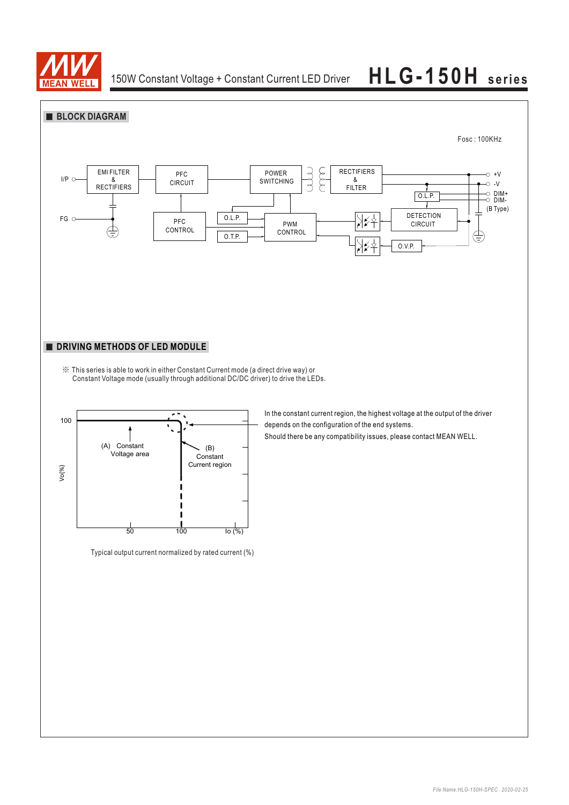

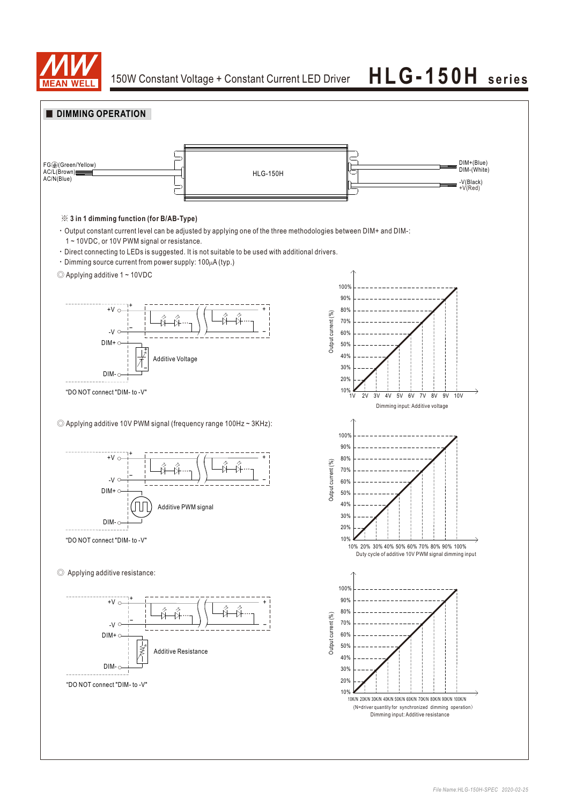

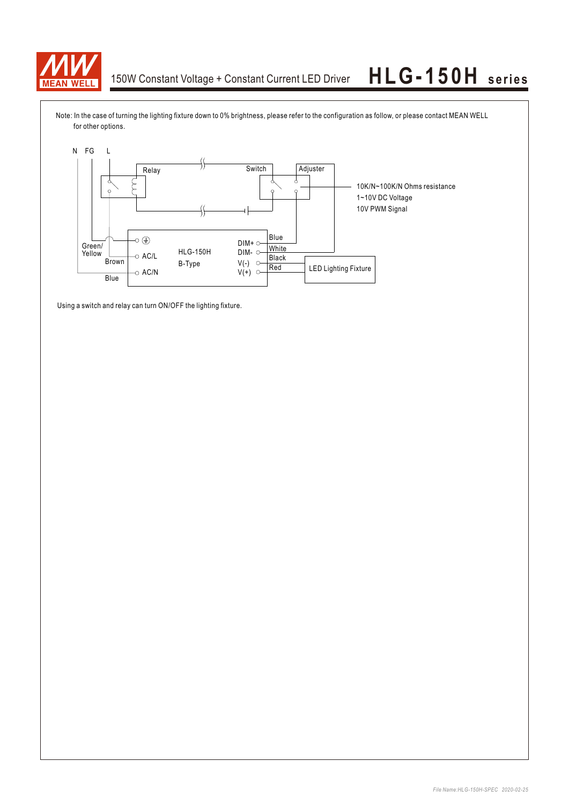

Note: In the case of turning the lighting fixture down to 0% brightness, please refer to the configuration as follow, or please contact MEAN WELL for other options.



Using a switch and relay can turn ON/OFF the lighting fixture.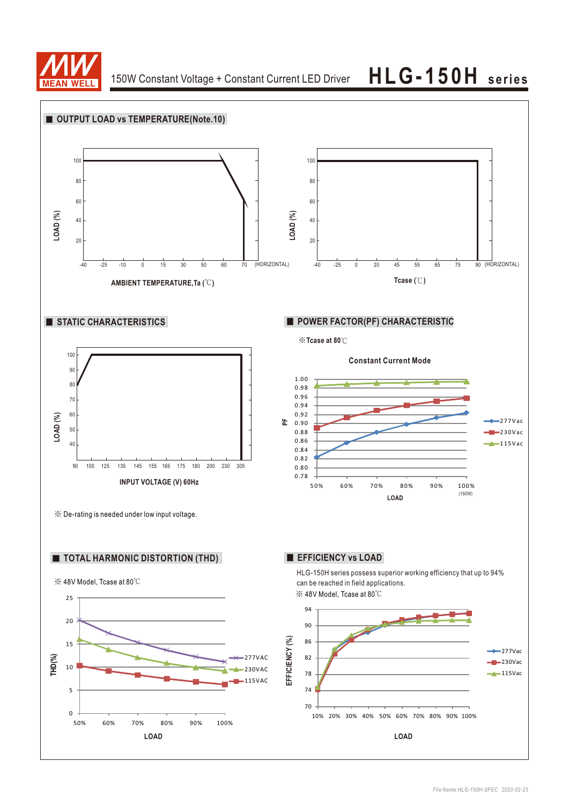

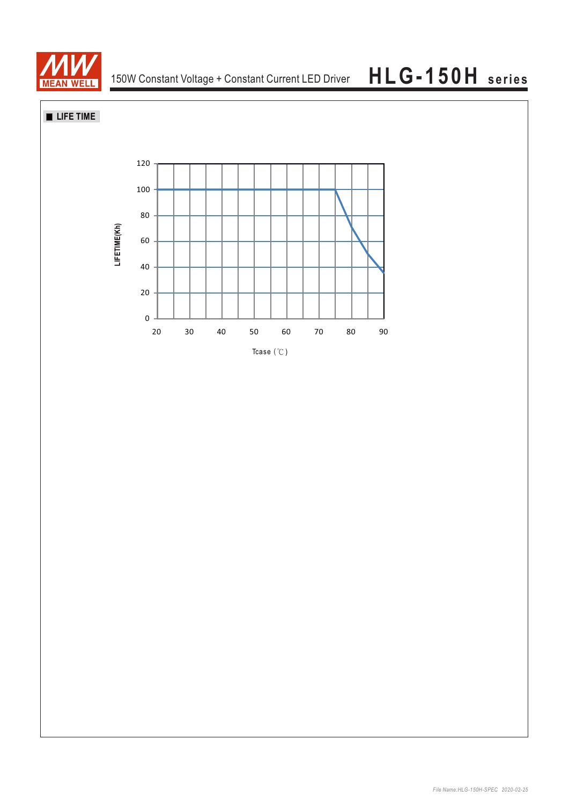

**LIFE TIME**

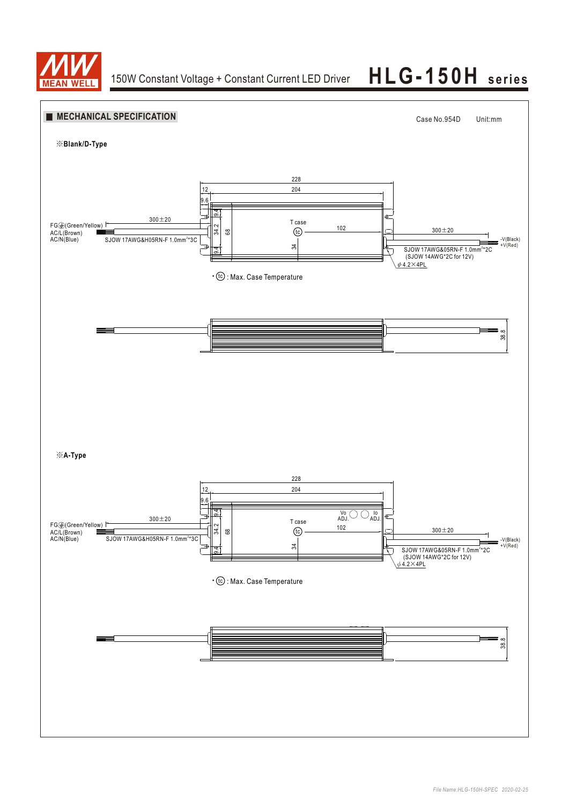

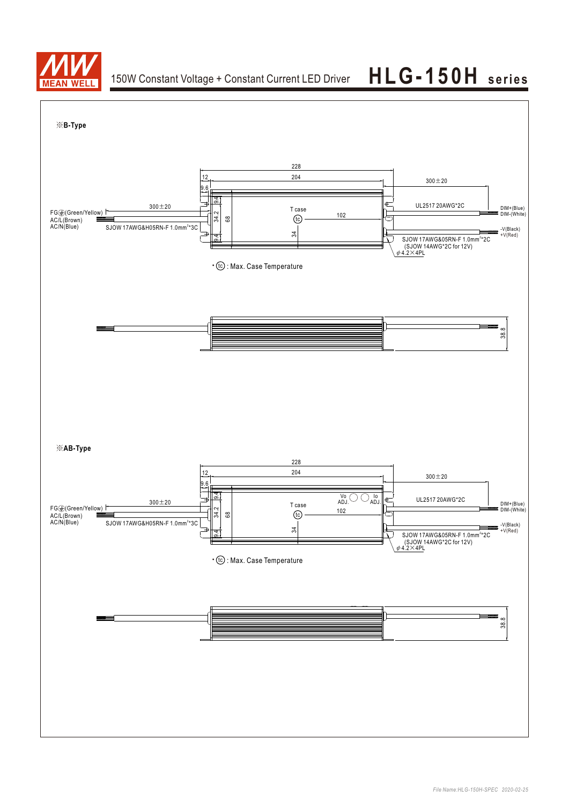